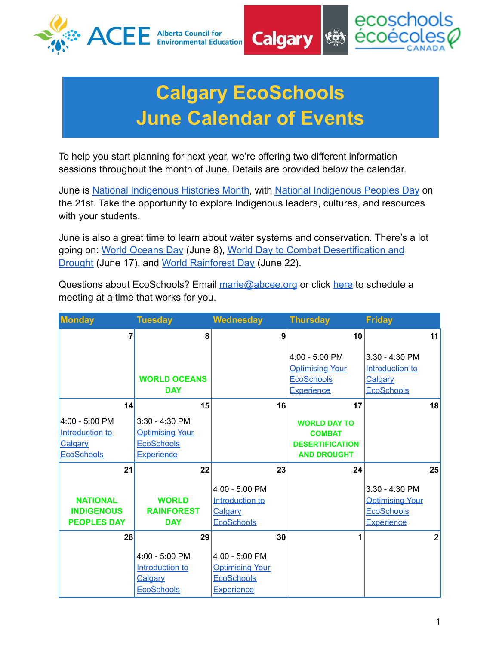



## **Calgary EcoSchools June Calendar of Events**

**Calgary** 

To help you start planning for next year, we're offering two different information sessions throughout the month of June. Details are provided below the calendar.

June is [National Indigenous Histories Month](https://www.rcaanc-cirnac.gc.ca/eng/1466616436543/1534874922512), with [National Indigenous Peoples Day](https://www.rcaanc-cirnac.gc.ca/eng/1100100013248/1534872397533) on the 21st. Take the opportunity to explore Indigenous leaders, cultures, and resources with your students.

June is also a great time to learn about water systems and conservation. There's a lot going on: [World Oceans Day](https://worldoceanday.org/) (June 8), World Day to [Combat Desertification and](https://www.un.org/en/observances/desertification-day) [Drought](https://www.un.org/en/observances/desertification-day) (June 17), and [World Rainforest Day](https://worldrainforestday.org/) (June 22).

Questions about EcoSchools? Email [marie@abcee.org](mailto:marie@abcee.org) or click [here](https://calendly.com/marie-acee/30min) to schedule a meeting at a time that works for you.

| <b>Monday</b>                                                     | <b>Tuesday</b>                                                                     | <b>Wednesday</b>                                                                   |    | <b>Thursday</b>                                                                      | <b>Friday</b>                                                                 |                |
|-------------------------------------------------------------------|------------------------------------------------------------------------------------|------------------------------------------------------------------------------------|----|--------------------------------------------------------------------------------------|-------------------------------------------------------------------------------|----------------|
| $\overline{7}$                                                    | 8                                                                                  |                                                                                    | 9  | 10                                                                                   |                                                                               | 11             |
|                                                                   | <b>WORLD OCEANS</b><br><b>DAY</b>                                                  |                                                                                    |    | 4:00 - 5:00 PM<br><b>Optimising Your</b><br><b>EcoSchools</b><br><b>Experience</b>   | 3:30 - 4:30 PM<br>Introduction to<br>Calgary<br><b>EcoSchools</b>             |                |
| 14                                                                | 15                                                                                 |                                                                                    | 16 | 17                                                                                   |                                                                               | 18             |
| 4:00 - 5:00 PM<br>Introduction to<br>Calgary<br><b>EcoSchools</b> | 3:30 - 4:30 PM<br><b>Optimising Your</b><br><b>EcoSchools</b><br><b>Experience</b> |                                                                                    |    | <b>WORLD DAY TO</b><br><b>COMBAT</b><br><b>DESERTIFICATION</b><br><b>AND DROUGHT</b> |                                                                               |                |
| 21                                                                | 22                                                                                 |                                                                                    | 23 | 24                                                                                   |                                                                               | 25             |
| <b>NATIONAL</b><br><b>INDIGENOUS</b><br><b>PEOPLES DAY</b>        | <b>WORLD</b><br><b>RAINFOREST</b><br><b>DAY</b>                                    | 4:00 - 5:00 PM<br>Introduction to<br>Calgary<br><b>EcoSchools</b>                  |    |                                                                                      | $3:30 - 4:30$ PM<br><b>Optimising Your</b><br><b>EcoSchools</b><br>Experience |                |
| 28                                                                | 29                                                                                 |                                                                                    | 30 | 1                                                                                    |                                                                               | $\overline{2}$ |
|                                                                   | 4:00 - 5:00 PM<br>Introduction to<br>Calgary<br><b>EcoSchools</b>                  | 4:00 - 5:00 PM<br><b>Optimising Your</b><br><b>EcoSchools</b><br><b>Experience</b> |    |                                                                                      |                                                                               |                |